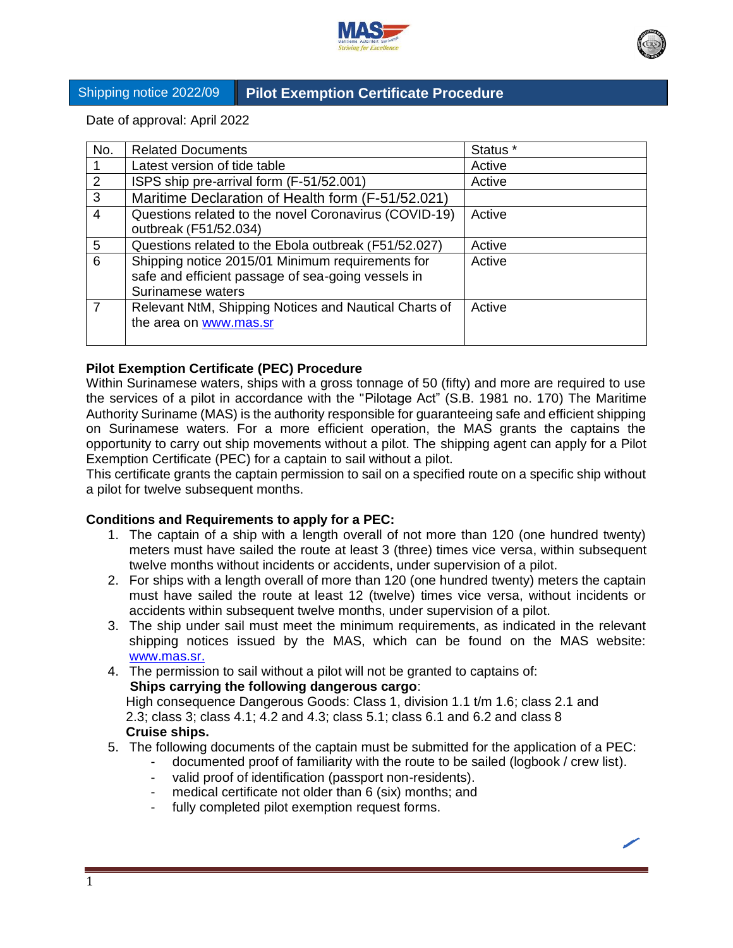

# Shipping notice 2022/09 **Pilot Exemption Certificate Procedure**

Date of approval: April 2022

| No.           | <b>Related Documents</b>                              | Status * |
|---------------|-------------------------------------------------------|----------|
|               | Latest version of tide table                          | Active   |
| $\mathcal{P}$ | ISPS ship pre-arrival form (F-51/52.001)              | Active   |
| 3             | Maritime Declaration of Health form (F-51/52.021)     |          |
| 4             | Questions related to the novel Coronavirus (COVID-19) | Active   |
|               | outbreak (F51/52.034)                                 |          |
| 5             | Questions related to the Ebola outbreak (F51/52.027)  | Active   |
| 6             | Shipping notice 2015/01 Minimum requirements for      | Active   |
|               | safe and efficient passage of sea-going vessels in    |          |
|               | Surinamese waters                                     |          |
|               | Relevant NtM, Shipping Notices and Nautical Charts of | Active   |
|               | the area on www.mas.sr                                |          |
|               |                                                       |          |

## **Pilot Exemption Certificate (PEC) Procedure**

Within Surinamese waters, ships with a gross tonnage of 50 (fifty) and more are required to use the services of a pilot in accordance with the "Pilotage Act" (S.B. 1981 no. 170) The Maritime Authority Suriname (MAS) is the authority responsible for guaranteeing safe and efficient shipping on Surinamese waters. For a more efficient operation, the MAS grants the captains the opportunity to carry out ship movements without a pilot. The shipping agent can apply for a Pilot Exemption Certificate (PEC) for a captain to sail without a pilot.

This certificate grants the captain permission to sail on a specified route on a specific ship without a pilot for twelve subsequent months.

## **Conditions and Requirements to apply for a PEC:**

- 1. The captain of a ship with a length overall of not more than 120 (one hundred twenty) meters must have sailed the route at least 3 (three) times vice versa, within subsequent twelve months without incidents or accidents, under supervision of a pilot.
- 2. For ships with a length overall of more than 120 (one hundred twenty) meters the captain must have sailed the route at least 12 (twelve) times vice versa, without incidents or accidents within subsequent twelve months, under supervision of a pilot.
- 3. The ship under sail must meet the minimum requirements, as indicated in the relevant shipping notices issued by the MAS, which can be found on the MAS website: [www.mas.sr.](http://www.mas.sr/)
- 4. The permission to sail without a pilot will not be granted to captains of:

#### **Ships carrying the following dangerous cargo**:

 High consequence Dangerous Goods: Class 1, division 1.1 t/m 1.6; class 2.1 and 2.3; class 3; class 4.1; 4.2 and 4.3; class 5.1; class 6.1 and 6.2 and class 8  **Cruise ships.**

- 5. The following documents of the captain must be submitted for the application of a PEC:
	- documented proof of familiarity with the route to be sailed (logbook / crew list).
		- valid proof of identification (passport non-residents).
		- medical certificate not older than 6 (six) months; and
		- fully completed pilot exemption request forms.